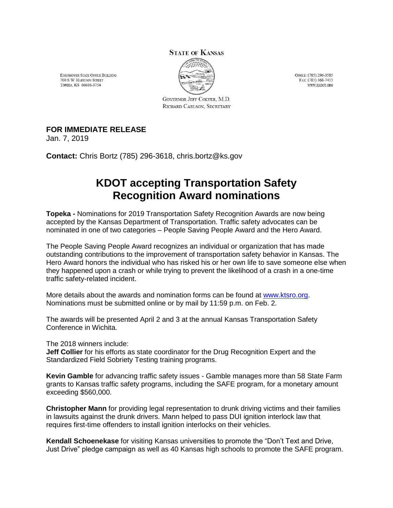## **STATE OF KANSAS**



OFFICE: (785) 296-3585 FAX: (785) 368-7415 WWW.KSDOT.ORG

EISENHOWER STATE OFFICE BUILDING 700 S.W. HARRISON STREET TOPEKA, KS 66603-3754

> GOVERNOR JEFF COLYER, M.D. RICHARD CARLSON, SECRETARY

## **FOR IMMEDIATE RELEASE**

Jan. 7, 2019

**Contact:** Chris Bortz (785) 296-3618, chris.bortz@ks.gov

## **KDOT accepting Transportation Safety Recognition Award nominations**

**Topeka -** Nominations for 2019 Transportation Safety Recognition Awards are now being accepted by the Kansas Department of Transportation. Traffic safety advocates can be nominated in one of two categories – People Saving People Award and the Hero Award.

The People Saving People Award recognizes an individual or organization that has made outstanding contributions to the improvement of transportation safety behavior in Kansas. The Hero Award honors the individual who has risked his or her own life to save someone else when they happened upon a crash or while trying to prevent the likelihood of a crash in a one-time traffic safety-related incident.

More details about the awards and nomination forms can be found at [www.ktsro.org.](http://www.ktsro.org/) Nominations must be submitted online or by mail by 11:59 p.m. on Feb. 2.

The awards will be presented April 2 and 3 at the annual Kansas Transportation Safety Conference in Wichita.

The 2018 winners include:

**Jeff Collier** for his efforts as state coordinator for the Drug Recognition Expert and the Standardized Field Sobriety Testing training programs.

**Kevin Gamble** for advancing traffic safety issues - Gamble manages more than 58 State Farm grants to Kansas traffic safety programs, including the SAFE program, for a monetary amount exceeding \$560,000.

**Christopher Mann** for providing legal representation to drunk driving victims and their families in lawsuits against the drunk drivers. Mann helped to pass DUI ignition interlock law that requires first-time offenders to install ignition interlocks on their vehicles.

**Kendall Schoenekase** for visiting Kansas universities to promote the "Don't Text and Drive, Just Drive" pledge campaign as well as 40 Kansas high schools to promote the SAFE program.